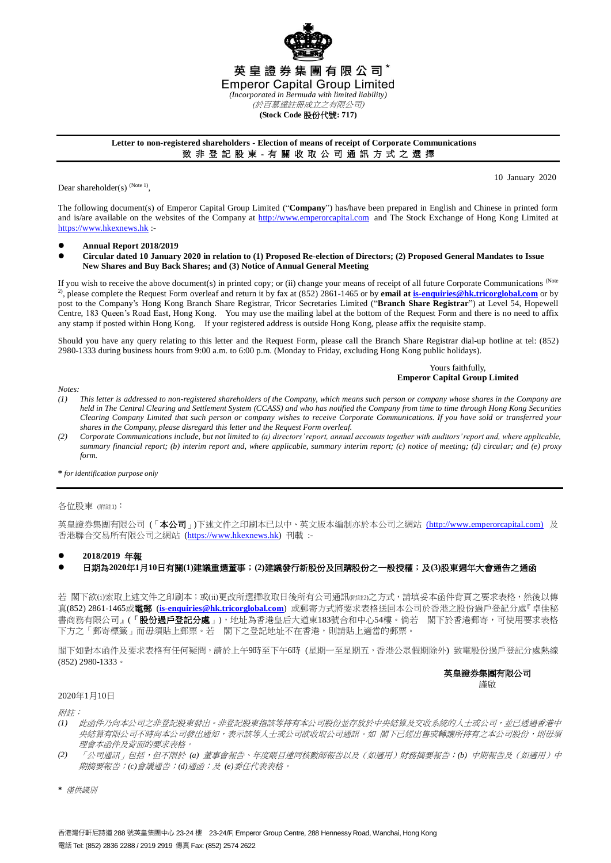

# **Letter to non-registered shareholders - Election of means of receipt of Corporate Communications** 致 非 登 記 股 東 - 有 關 收 取 公 司 通 訊 方 式 之 選 擇

Dear shareholder(s)  $(Note 1)$ ,

10 January 2020

The following document(s) of Emperor Capital Group Limited ("**Company**") has/have been prepared in English and Chinese in printed form and is/are available on the websites of the Company at [http://www.emperorcapital.com](http://www.emperorcapital.com/) and The Stock Exchange of Hong Kong Limited at [https://www.hkexnews.hk](https://www.hkexnews.hk/) :-

- **Annual Report 2018/2019**
- **Circular dated 10 January 2020 in relation to (1) Proposed Re-election of Directors; (2) Proposed General Mandates to Issue New Shares and Buy Back Shares; and (3) Notice of Annual General Meeting**

If you wish to receive the above document(s) in printed copy; or (ii) change your means of receipt of all future Corporate Communications (Note 2), please complete the Request Form overleaf and return it by fax at (852) 2861-1465 or by **email a[t is-enquiries@hk.tricorglobal.com](mailto:is-enquiries@hk.tricorglobal.com)** or by post to the Company's Hong Kong Branch Share Registrar, Tricor Secretaries Limited ("**Branch Share Registrar**") at Level 54, Hopewell Centre, 183 Queen's Road East, Hong Kong. You may use the mailing label at the bottom of the Request Form and there is no need to affix any stamp if posted within Hong Kong. If your registered address is outside Hong Kong, please affix the requisite stamp.

Should you have any query relating to this letter and the Request Form, please call the Branch Share Registrar dial-up hotline at tel: (852) 2980-1333 during business hours from 9:00 a.m. to 6:00 p.m. (Monday to Friday, excluding Hong Kong public holidays).

> Yours faithfully, **Emperor Capital Group Limited**

*Notes:*

- *(1) This letter is addressed to non-registered shareholders of the Company, which means such person or company whose shares in the Company are held in The Central Clearing and Settlement System (CCASS) and who has notified the Company from time to time through Hong Kong Securities Clearing Company Limited that such person or company wishes to receive Corporate Communications. If you have sold or transferred your shares in the Company, please disregard this letter and the Request Form overleaf.*
- *(2) Corporate Communications include, but not limited to (a) directors' report, annual accounts together with auditors' report and, where applicable, summary financial report; (b) interim report and, where applicable, summary interim report; (c) notice of meeting; (d) circular; and (e) proxy form.*

**\*** *for identification purpose only*

### 各位股東 (附註1):

英皇證券集團有限公司(「本公司」)下述文件之印刷本已以中、英文版本編制亦於本公司之網站[\(http://www.emperorcapital.com\)](http://www.emperorcapital.com/) 及 香港聯合交易所有限公司之網站 [\(https://www.hkexnews.hk\)](https://www.hkexnews.hk/) 刊載 :-

### **2018/2019** 年報

## 日期為**2020**年**1**月**10**日有關**(1)**建議重選董事;**(2)**建議發行新股份及回購股份之一般授權;及**(3)**股東週年大會通告之通函

若 閣下欲(i)索取上述文件之印刷本;或(ii)更改所選擇收取日後所有公司通訊(附註2)之方式,請填妥本函件背頁之要求表格,然後以傳 真(852) 2861-1465或電郵 (**[is-enquiries@hk.tricorglobal.com](mailto:is-enquiries@hk.tricorglobal.com)**) 或郵寄方式將要求表格送回本公司於香港之股份過戶登記分處『卓佳秘 書商務有限公司』(「**股份過戶登記分處**」),地址為香港皇后大道東183號合和中心54樓。倘若 閣下於香港郵寄,可使用要求表格 下方之「郵寄標籤」而毋須貼上郵票。若 閣下之登記地址不在香港,則請貼上適當的郵票。

閣下如對本函件及要求表格有任何疑問,請於上午9時至下午6時 (星期一至星期五,香港公眾假期除外) 致電股份過戶登記分處熱線 (852) 2980-1333。

英皇證券集團有限公司

謹啟

#### 2020年1月10日

附註:

- *(1)* 此函件乃向本公司之非登記股東發出。非登記股東指該等持有本公司股份並存放於中央結算及交收系統的人士或公司,並已透過香港中 央結算有限公司不時向本公司發出通知,表示該等人士或公司欲收取公司通訊。如 閣下已經出售或轉讓所持有之本公司股份,則毋須 理會本函件及背面的要求表格。
- *(2)* 「公司通訊」包括,但不限於 *(a)* 董事會報告、年度賬目連同核數師報告以及(如適用)財務摘要報告;*(b)* 中期報告及(如適用)中 期摘要報告;*(c)*會議通告;*(d)*通函;及 *(e)*委任代表表格。
- **\*** 僅供識別